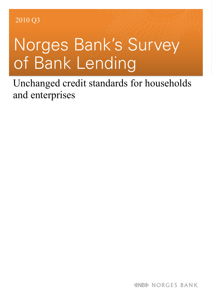# Norges Bank's Survey of Bank Lending

Unchanged credit standards for households and enterprises

*&NB* NORGES BANK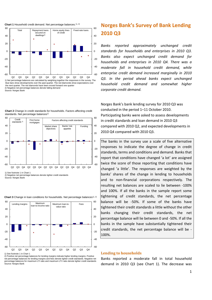

2) Negative net percentage balances denote falling demand Source: Norges Bank

#### **Chart 2** Change in credit standards for households. Factors affecting credit standards. Net percentage balances<sup>1)</sup>



1) See footnote 1 in Chart 1

2) Negative net percentage balances denote tighter credit standards Source: Norges Bank

**Chart 3** Change in loan conditions for households. Net percentage balances<sup>1), 2)</sup>



2) Positive net percentage balances for lending margins indicate higher lending margins. Positive net percentage balances for lending margins and fees denote tighter credit standards. Negative net percentage balances for maximum LTI ratio and maximum LTV ratio denote tighter credit standards Source: Norges Bank

## **Norges Bank's Survey of Bank Lending 2010 Q3**

*Banks reported approximately unchanged credit standards for households and enterprises in 2010 Q3. Banks also expect unchanged credit demand for households and enterprises in 2010 Q4. There was a moderate fall in household credit demand, while enterprise credit demand increased marginally in 2010 Q3. In the period ahead banks expect unchanged household credit demand and somewhat higher corporate credit demand.*

Norges Bank's bank lending survey for 2010 Q3 was conducted in the period 1–11 October 2010. Participating banks were asked to assess developments in credit standards and loan demand in 2010 Q3 compared with 2010 Q2, and expected developments in 2010 Q4 compared with 2010 Q3.

The banks in the survey use a scale of five alternative responses to indicate the degree of change in credit standards, terms and conditions and demand. Banks that report that conditions have changed 'a lot' are assigned twice the score of those reporting that conditions have changed 'a little'. The responses are weighted by the banks' shares of the change in lending to households and to non-financial corporations respectively. The resulting net balances are scaled to lie between -100% and 100%. If all the banks in the sample report some tightening of credit standards, the net percentage balance will be -50%. If some of the banks have tightened their credit standards a little without the other banks changing their credit standards, the net percentage balance will lie between 0 and -50%. If all the banks in the sample have substantially tightened their credit standards, the net percentage balance will be - 100%.

### **Lending to households**

Banks reported a moderate fall in total household demand in 2010 Q3 (see Chart 1). The decrease was